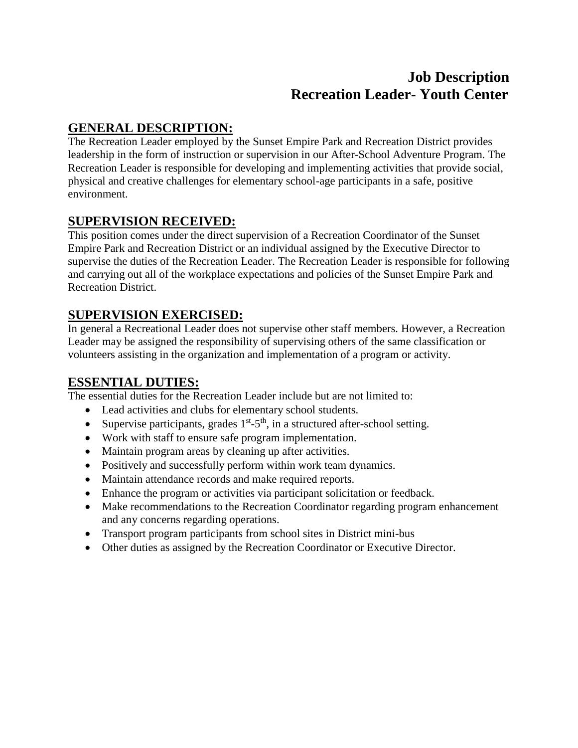# **Job Description Recreation Leader- Youth Center**

## **GENERAL DESCRIPTION:**

The Recreation Leader employed by the Sunset Empire Park and Recreation District provides leadership in the form of instruction or supervision in our After-School Adventure Program. The Recreation Leader is responsible for developing and implementing activities that provide social, physical and creative challenges for elementary school-age participants in a safe, positive environment.

### **SUPERVISION RECEIVED:**

This position comes under the direct supervision of a Recreation Coordinator of the Sunset Empire Park and Recreation District or an individual assigned by the Executive Director to supervise the duties of the Recreation Leader. The Recreation Leader is responsible for following and carrying out all of the workplace expectations and policies of the Sunset Empire Park and Recreation District.

## **SUPERVISION EXERCISED:**

In general a Recreational Leader does not supervise other staff members. However, a Recreation Leader may be assigned the responsibility of supervising others of the same classification or volunteers assisting in the organization and implementation of a program or activity.

## **ESSENTIAL DUTIES:**

The essential duties for the Recreation Leader include but are not limited to:

- Lead activities and clubs for elementary school students.
- Supervise participants, grades  $1^{st}$ -5<sup>th</sup>, in a structured after-school setting.
- Work with staff to ensure safe program implementation.
- Maintain program areas by cleaning up after activities.
- Positively and successfully perform within work team dynamics.
- Maintain attendance records and make required reports.
- Enhance the program or activities via participant solicitation or feedback.
- Make recommendations to the Recreation Coordinator regarding program enhancement and any concerns regarding operations.
- Transport program participants from school sites in District mini-bus
- Other duties as assigned by the Recreation Coordinator or Executive Director.